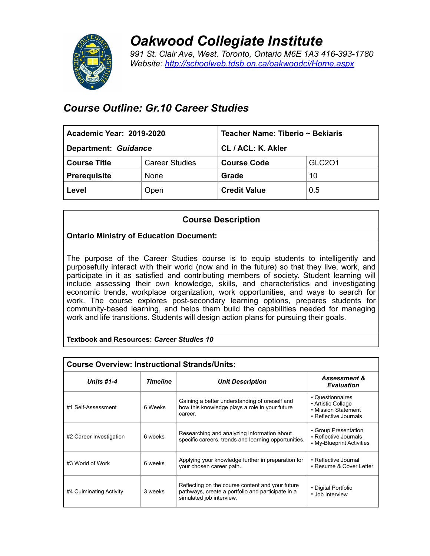

*Oakwood Collegiate Institute 991 St. Clair Ave, West. Toronto, Ontario M6E 1A3 416-393-1780 Website: <http://schoolweb.tdsb.on.ca/oakwoodci/Home.aspx>*

# *Course Outline: Gr.10 Career Studies*

| <b>Academic Year: 2019-2020</b> |                       | Teacher Name: Tiberio ~ Bekiaris |               |  |
|---------------------------------|-----------------------|----------------------------------|---------------|--|
| Department: Guidance            |                       | CL / ACL: K. Akler               |               |  |
| <b>Course Title</b>             | <b>Career Studies</b> | <b>Course Code</b>               | <b>GLC201</b> |  |
| <b>Prerequisite</b>             | None                  | Grade                            | 10            |  |
| Level                           | Open                  | <b>Credit Value</b>              | 0.5           |  |

# **Course Description**

# **Ontario Ministry of Education Document:**

The purpose of the Career Studies course is to equip students to intelligently and purposefully interact with their world (now and in the future) so that they live, work, and participate in it as satisfied and contributing members of society. Student learning will include assessing their own knowledge, skills, and characteristics and investigating economic trends, workplace organization, work opportunities, and ways to search for work. The course explores post-secondary learning options, prepares students for community-based learning, and helps them build the capabilities needed for managing work and life transitions. Students will design action plans for pursuing their goals.

#### **Textbook and Resources:** *Career Studies 10*

| <b>Course Overview: Instructional Strands/Units:</b> |                 |                                                                                                                                   |                                                                                        |  |  |  |
|------------------------------------------------------|-----------------|-----------------------------------------------------------------------------------------------------------------------------------|----------------------------------------------------------------------------------------|--|--|--|
| <b>Units #1-4</b>                                    | <b>Timeline</b> | <b>Unit Description</b>                                                                                                           | <b>Assessment &amp;</b><br><b>Evaluation</b>                                           |  |  |  |
| #1 Self-Assessment                                   | 6 Weeks         | Gaining a better understanding of oneself and<br>how this knowledge plays a role in your future<br>career.                        | • Questionnaires<br>• Artistic Collage<br>• Mission Statement<br>• Reflective Journals |  |  |  |
| #2 Career Investigation                              | 6 weeks         | Researching and analyzing information about<br>specific careers, trends and learning opportunities.                               | • Group Presentation<br>• Reflective Journals<br>• My-Blueprint Activities             |  |  |  |
| #3 World of Work                                     | 6 weeks         | Applying your knowledge further in preparation for<br>your chosen career path.                                                    | • Reflective Journal<br>• Resume & Cover Letter                                        |  |  |  |
| #4 Culminating Activity                              | 3 weeks         | Reflecting on the course content and your future<br>pathways, create a portfolio and participate in a<br>simulated job interview. | • Digital Portfolio<br>• Job Interview                                                 |  |  |  |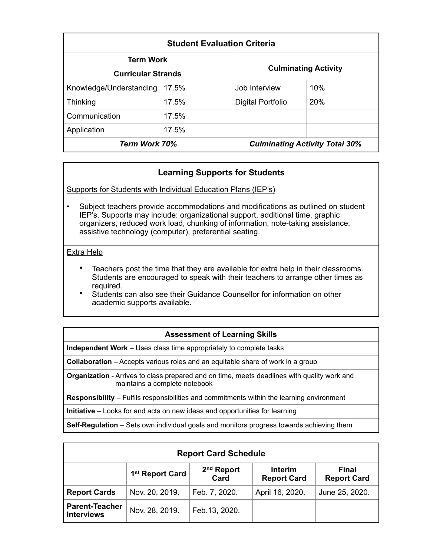| <b>Student Evaluation Criteria</b> |       |                             |                                       |  |  |  |
|------------------------------------|-------|-----------------------------|---------------------------------------|--|--|--|
| <b>Term Work</b>                   |       |                             |                                       |  |  |  |
| <b>Curricular Strands</b>          |       | <b>Culminating Activity</b> |                                       |  |  |  |
| Knowledge/Understanding            | 17.5% | Job Interview               | 10%                                   |  |  |  |
| Thinking                           | 17.5% | Digital Portfolio           | 20%                                   |  |  |  |
| Communication                      | 17.5% |                             |                                       |  |  |  |
| Application                        | 17.5% |                             |                                       |  |  |  |
| Term Work 70%                      |       |                             | <b>Culminating Activity Total 30%</b> |  |  |  |

# **Learning Supports for Students**

Supports for Students with Individual Education Plans (IEP's)

• Subject teachers provide accommodations and modifications as outlined on student IEP's. Supports may include: organizational support, additional time, graphic organizers, reduced work load, chunking of information, note-taking assistance, assistive technology (computer), preferential seating.

### Extra Help

- Teachers post the time that they are available for extra help in their classrooms. Students are encouraged to speak with their teachers to arrange other times as required.
- Students can also see their Guidance Counsellor for information on other academic supports available.

### **Assessment of Learning Skills**

**Independent Work** – Uses class time appropriately to complete tasks

**Collaboration** – Accepts various roles and an equitable share of work in a group

**Organization** - Arrives to class prepared and on time, meets deadlines with quality work and maintains a complete notebook

**Responsibility** – Fulfils responsibilities and commitments within the learning environment

**Initiative** – Looks for and acts on new ideas and opportunities for learning

**Self-Regulation** – Sets own individual goals and monitors progress towards achieving them

| <b>Report Card Schedule</b>                |                             |                                |                                      |                             |  |  |  |
|--------------------------------------------|-----------------------------|--------------------------------|--------------------------------------|-----------------------------|--|--|--|
|                                            | 1 <sup>st</sup> Report Card | 2 <sup>nd</sup> Report<br>Card | <b>Interim</b><br><b>Report Card</b> | Final<br><b>Report Card</b> |  |  |  |
| <b>Report Cards</b>                        | Nov. 20, 2019.              | Feb. 7, 2020.                  | April 16, 2020.                      | June 25, 2020.              |  |  |  |
| <b>Parent-Teacher</b><br><b>Interviews</b> | Nov. 28, 2019.              | Feb. 13, 2020.                 |                                      |                             |  |  |  |